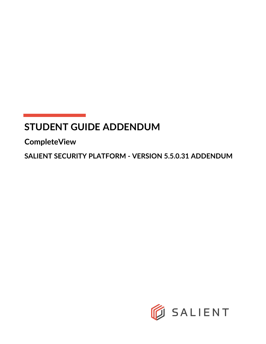# **STUDENT GUIDE ADDENDUM**

**CompleteView**

**SALIENT SECURITY PLATFORM - VERSION 5.5.0.31 ADDENDUM**

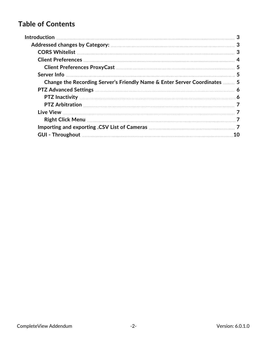## **Table of Contents**

|                                                                           | 3  |
|---------------------------------------------------------------------------|----|
|                                                                           |    |
|                                                                           |    |
|                                                                           |    |
|                                                                           |    |
|                                                                           |    |
| Change the Recording Server's Friendly Name & Enter Server Coordinates  5 |    |
|                                                                           |    |
|                                                                           |    |
|                                                                           |    |
|                                                                           |    |
|                                                                           |    |
|                                                                           |    |
|                                                                           | 10 |
|                                                                           |    |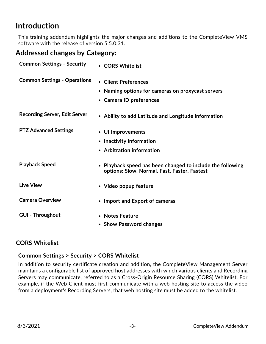## <span id="page-2-0"></span>**Introduction**

This training addendum highlights the major changes and additions to the CompleteView VMS software with the release of version 5.5.0.31.

## <span id="page-2-1"></span>**Addressed changes by Category:**

| <b>Common Settings - Security</b>    | • CORS Whitelist                                                                                           |
|--------------------------------------|------------------------------------------------------------------------------------------------------------|
| <b>Common Settings - Operations</b>  | • Client Preferences<br>Naming options for cameras on proxycast servers                                    |
|                                      | • Camera ID preferences                                                                                    |
| <b>Recording Server, Edit Server</b> | • Ability to add Latitude and Longitude information                                                        |
| <b>PTZ Advanced Settings</b>         | • UI Improvements                                                                                          |
|                                      | • Inactivity information                                                                                   |
|                                      | • Arbitration information                                                                                  |
| <b>Playback Speed</b>                | • Playback speed has been changed to include the following<br>options: Slow, Normal, Fast, Faster, Fastest |
| <b>Live View</b>                     | • Video popup feature                                                                                      |
| <b>Camera Overview</b>               | • Import and Export of cameras                                                                             |
| <b>GUI - Throughout</b>              | • Notes Feature<br>• Show Password changes                                                                 |
|                                      |                                                                                                            |

#### <span id="page-2-2"></span>**CORS Whitelist**

#### **Common Settings > Security > CORS Whitelist**

In addition to security certificate creation and addition, the CompleteView Management Server maintains a configurable list of approved host addresses with which various clients and Recording Servers may communicate, referred to as a Cross-Origin Resource Sharing (CORS) Whitelist. For example, if the Web Client must first communicate with a web hosting site to access the video from a deployment's Recording Servers, that web hosting site must be added to the whitelist.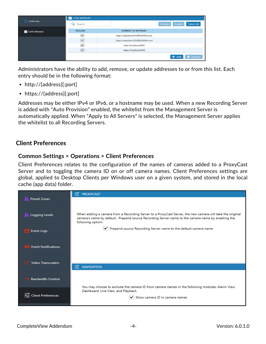|                          | 蒼<br><b>CORS WHITELIST</b> |                                  |                |         |            |
|--------------------------|----------------------------|----------------------------------|----------------|---------|------------|
| <b>Certificates</b>      | Search<br>Q                |                                  | <b>Disable</b> | Enable  | Select All |
| <b>ED</b> CORS Whitelist | <b>INCLUDE</b>             | <b>ADDRESS TO WHITELIST</b>      |                |         |            |
|                          | ∣✓∣                        | http://webclient.YOURDOMAIN.com  |                |         |            |
|                          | $\overline{\mathbf{v}}$    | https://webclient.YOURDOMAIN.com |                |         |            |
|                          | ▽                          | http://localhost:4502            |                |         |            |
|                          | $\triangledown$            | https://localhost:4503           |                |         |            |
|                          |                            |                                  |                | $+$ Add | X Remove   |

Administrators have the ability to add, remove, or update addresses to or from this list. Each entry should be in the following format:

- http://{address}[:port]
- https://{address}[:port]

Addresses may be either IPv4 or IPv6, or a hostname may be used. When a new Recording Server is added with "Auto Provision" enabled, the whitelist from the Management Server is automatically applied. When "Apply to All Servers" is selected, the Management Server applies the whitelist to all Recording Servers.

#### <span id="page-3-0"></span>**Client Preferences**

#### **Common Settings > Operations > Client Preferences**

Client Preferences relates to the configuration of the names of cameras added to a ProxyCast Server and to toggling the camera ID on or off camera names. Client Preferences settings are global, applied to Desktop Clients per Windows user on a given system, and stored in the local cache (app data) folder.

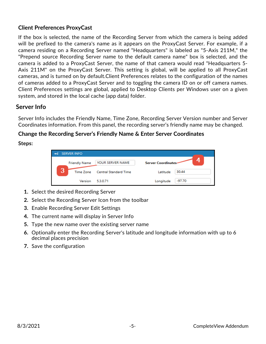#### <span id="page-4-0"></span>**Client Preferences ProxyCast**

If the box is selected, the name of the Recording Server from which the camera is being added will be prefixed to the camera's name as it appears on the ProxyCast Server. For example, if a camera residing on a Recording Server named "Headquarters" is labeled as "5-Axis 211M," the "Prepend source Recording Server name to the default camera name" box is selected, and the camera is added to a ProxyCast Server, the name of that camera would read "Headquarters 5- Axis 211M" on the ProxyCast Server. This setting is global, will be applied to all ProxyCast cameras, and is turned on by default.Client Preferences relates to the configuration of the names of cameras added to a ProxyCast Server and to toggling the camera ID on or off camera names. Client Preferences settings are global, applied to Desktop Clients per Windows user on a given system, and stored in the local cache (app data) folder.

### <span id="page-4-1"></span>**Server Info**

Server Info includes the Friendly Name, Time Zone, Recording Server Version number and Server Coordinates information. From this panel, the recording server's friendly name may be changed.

#### <span id="page-4-2"></span>**Change the Recording Server's Friendly Name & Enter Server Coordinates**

**Steps:**

| <b>SERVER INFO</b>    |                       |                           |          |
|-----------------------|-----------------------|---------------------------|----------|
| <b>Friendly Name</b>  | YOUR SERVER NAME      | <b>Server Coordinates</b> | ◢        |
| 3<br><b>Time Zone</b> | Central Standard Time | Latitude                  | 30.44    |
| Version               | 5.3.0.71              | Longitude                 | $-97.70$ |

- **1.** Select the desired Recording Server
- **2.** Select the Recording Server Icon from the toolbar
- **3.** Enable Recording Server Edit Settings
- **4.** The current name will display in Server Info
- **5.** Type the new name over the existing server name
- **6.** Optionally enter the Recording Server's latitude and longitude information with up to 6 decimal places precision
- **7.** Save the configuration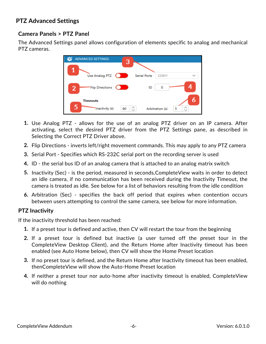## <span id="page-5-0"></span>**PTZ Advanced Settings**

#### **Camera Panels > PTZ Panel**

The Advanced Settings panel allows configuration of elements specific to analog and mechanical PTZ cameras.



- **1.** Use Analog PTZ allows for the use of an analog PTZ driver on an IP camera. After activating, select the desired PTZ driver from the PTZ Settings pane, as described in Selecting the Correct PTZ Driver above.
- **2.** Flip Directions inverts left/right movement commands. This may apply to any PTZ camera
- **3.** Serial Port Specifies which RS-232C serial port on the recording server is used
- **4.** ID the serial bus ID of an analog camera that is attached to an analog matrix switch
- **5.** Inactivity (Sec) is the period, measured in seconds,CompleteView waits in order to detect an idle camera, if no communication has been received during the Inactivity Timeout, the camera is treated as idle. See below for a list of behaviors resulting from the idle condition
- **6.** Arbitration (Sec) specifies the back off period that expires when contention occurs between users attempting to control the same camera, see below for more information.

#### <span id="page-5-1"></span>**PTZ Inactivity**

If the inactivity threshold has been reached:

- **1.** If a preset tour is defined and active, then CV will restart the tour from the beginning
- **2.** If a preset tour is defined but inactive (a user turned off the preset tour in the CompleteView Desktop Client), and the Return Home after Inactivity timeout has been enabled (see Auto Home below), then CV will show the Home Preset location
- **3.** If no preset tour is defined, and the Return Home after Inactivity timeout has been enabled, thenCompleteView will show the Auto-Home Preset location
- **4.** If neither a preset tour nor auto-home after inactivity timeout is enabled, CompleteView will do nothing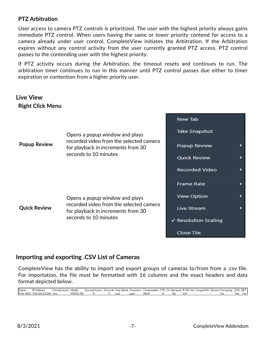#### <span id="page-6-0"></span>**PTZ Arbitration**

User access to camera PTZ controls is prioritized. The user with the highest priority always gains immediate PTZ control. When users having the same or lower priority contend for access to a camera already under user control, CompleteView initiates the Arbitration. If the Arbitration expires without any control activity from the user currently granted PTZ access, PTZ control passes to the contending user with the highest priority.

If PTZ activity occurs during the Arbitration, the timeout resets and continues to run. The arbitration timer continues to run in this manner until PTZ control passes due either to timer expiration or contention from a higher priority user.

<span id="page-6-2"></span><span id="page-6-1"></span>

### <span id="page-6-3"></span>**Importing and exporting .CSV List of Cameras**

CompleteView has the ability to import and export groups of cameras to/from from a .csv file. For importation, the file must be formatted with 16 columns and the exact headers and data format depicted below.

**IP Address** Channel Count | Channel | User Name Password | Compression | FPS | On-Demand | RTSP Port | Image Path | Stream Processing | DVD | DFT **Name** Manufacturer Model Axis-3025 192.168.10.120 Axis M3025-VF root pass H<sub>264</sub> **No**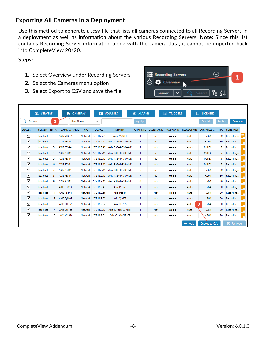## **Exporting All Cameras in a Deployment**

Use this method to generate a .csv file that lists all cameras connected to all Recording Servers in a deployment as well as information about the various Recording Servers. **Note:** Since this list contains Recording Server information along with the camera data, it cannot be imported back into CompleteView 20/20.

#### **Steps:**

- **1.** Select Overview under Recording Servers
- **2.** Select the Cameras menu option
- **3.** Select Export to CSV and save the file



|                 | 鬲<br><b>SERVERS</b> |                             | CAMERAS            |             | Ы                   | <b>VOLUMES</b>      | γ<br><b>ALARMS</b> |                  | 圇<br><b>TRIGGERS</b>           | ⊡                 | <b>LICENSES</b>      |               |                   |
|-----------------|---------------------|-----------------------------|--------------------|-------------|---------------------|---------------------|--------------------|------------------|--------------------------------|-------------------|----------------------|---------------|-------------------|
| Q<br>Search     |                     | $\overline{2}$              | <b>User Name</b>   |             | $\checkmark$        |                     | Apply              |                  |                                |                   | <b>Disable</b>       | <b>Enable</b> | <b>Select All</b> |
| <b>ENABLE</b>   | <b>SERVER</b>       | ID<br>$\boldsymbol{\wedge}$ | <b>CAMERA NAME</b> | <b>TYPE</b> | <b>DEVICE</b>       | <b>DRIVER</b>       | <b>CHANNEL</b>     | <b>USER NAME</b> | <b>PASSWORD</b>                | <b>RESOLUTION</b> | <b>COMPRESSI</b>     | <b>FPS</b>    | <b>SCHEDULE</b>   |
| ▽               | localhost           |                             | <b>AXIS M3014</b>  | Network     | 172.18.2.64         | <b>Axis M3014</b>   | 1                  | root             |                                | Auto              | H.264                | 30            | ≣<br>Recording    |
| $\triangledown$ | localhost           | 2                           | <b>AXIS P3344</b>  | Network     | 172.18.2.45         | Axis P3344/P3344VE  | $\mathbf{1}$       | root             | $\bullet\bullet\bullet\bullet$ | Auto              | H.264                | 30            | Recording         |
| ☑               | localhost           | з                           | <b>AXIS P3344</b>  | Network     | 172.18.2.45         | Axis P3344/P3344VE  | -1                 | root             |                                | Auto              | <b>MJPEG</b>         | 5.            | Recording         |
| $\triangledown$ | localhost           | 4                           | <b>AXIS P3344</b>  | Network     | 172.18.2.45         | Axis P3344/P3344VE  | -1                 | root             |                                | Auto              | <b>MJPEG</b>         | 5.            | Recording         |
| $\triangledown$ | localhost           | 5                           | <b>AXIS P3344</b>  | Network     | 172.18.2.45         | Axis P3344/P3344VE  | $\mathbf{1}$       | root             |                                | Auto              | <b>MJPEG</b>         | 5.            | Recording         |
| $\triangledown$ | localhost           | 6                           | <b>AXIS P3344</b>  | Network     | 172.18.2.45         | Axis P3344/P3344VE  | $\mathbf{1}$       | root             | $\bullet\bullet\bullet\bullet$ | Auto              | <b>MJPEG</b>         | 5.            | Recording         |
| Ⅳ               | localhost           | 7                           | <b>AXIS P3344</b>  | Network     | 172.18.2.45         | Axis P3344/P3344VE  | 6                  | root             |                                | Auto              | H.264                | 30            | Recording         |
| $\triangledown$ | localhost           | 8                           | <b>AXIS P3344</b>  | Network     | 172,18,2,45         | Axis P3344/P3344VE  | 7                  | root             |                                | Auto              | H.264                | 30            | Recording         |
| $\triangledown$ | localhost           | 9                           | <b>AXIS P3344</b>  | Network     | 172.18.2.45         | Axis P3344/P3344VE  | 8                  | root             |                                | Auto              | H.264                | 30            | Recording         |
| $\triangledown$ | localhost           | 10                          | <b>AXIS P3353</b>  |             | Network 172.18.2.43 | <b>Axis P3353</b>   | $\mathbf{1}$       | root             |                                | Auto              | H.264                | 30            | Recording         |
| $\triangledown$ | localhost           | 11                          | <b>AXIS P5544</b>  |             | Network 172.18.2.66 | Axis P5544          | 1                  | root             |                                | Auto              | H.264                | 30            | Recording         |
| $\triangledown$ | localhost           | 12                          | <b>AXIS Q1602</b>  |             | Network 172,18,2,55 | Axis Q1602          | $\mathbf{1}$       | root             |                                | Auto              | H.264                | 30            | Recording         |
| ▽               | localhost           | 13                          | <b>AXIS 01755</b>  |             | Network 172,18,2,62 | Axis Q1755          | 1                  | root             |                                | Auto              | з<br>H.264           | 30            | Recording         |
| $\triangledown$ | localhost           | 14                          | <b>AXIS Q1765</b>  |             | Network 172.18.2.42 | Axis Q1615-LE MkIII | $\mathbf{1}$       | root             |                                | Auto              | H.264                | 30            | Recording         |
| $[\checkmark]$  | localhost           | 15                          | <b>AXIS Q1910</b>  |             | Network 172,18,2,61 | Axis Q1910/1910E    | 1                  | root             |                                | Auto              | H.264                | 30            | Recording         |
|                 |                     |                             |                    |             |                     |                     |                    |                  |                                | $+$ Add           | <b>Export to CSV</b> |               | X Remove          |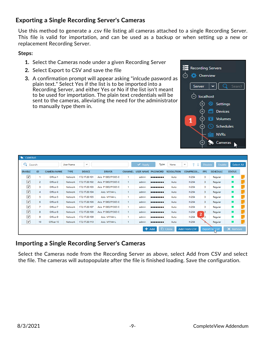## **Exporting a Single Recording Server's Cameras**

Use this method to generate a .csv file listing all cameras attached to a single Recording Server. This file is valid for importation, and can be used as a backup or when setting up a new or replacement Recording Server.

#### **Steps:**

- **1.** Select the Cameras node under a given Recording Server
- **2.** Select Export to CSV and save the file
- **3.** A confirmation prompt will appear asking "inlcude pasword as plain text." Select Yes if the list is to be imported into a Recording Server, and either Yes or No if the list isn't meant to be used for importation. The plain text credentials will be sent to the cameras, alleviating the need for the administrator to manually type them in.



| CAMERAS              |                |                    |                  |               |                    |                |                             |                                                                                                                 |                   |                        |                |                      |               |  |
|----------------------|----------------|--------------------|------------------|---------------|--------------------|----------------|-----------------------------|-----------------------------------------------------------------------------------------------------------------|-------------------|------------------------|----------------|----------------------|---------------|--|
| Q<br>Search          |                |                    | <b>User Name</b> | $\checkmark$  |                    |                | $\blacktriangleright$ Apply | Type                                                                                                            | None              | ↑<br>$\checkmark$<br>÷ | <b>Disable</b> | Enable               | Select All    |  |
| <b>ENABLE</b>        | ID             | <b>CAMERA NAME</b> | <b>TYPE</b>      | <b>DEVICE</b> | <b>DRIVER</b>      | <b>CHANNEL</b> |                             | <b>USER NAME PASSWORD</b>                                                                                       | <b>RESOLUTION</b> | COMPRESSI              | <b>FPS</b>     | <b>SCHEDULE</b>      | <b>STATUS</b> |  |
| ☑                    |                | Office-1           | Network          | 172.17.20.101 | Axis P1365/P1365-E |                | admin                       |                                                                                                                 | Auto              | H.264                  | з              | Regular              | ш             |  |
| $\boxed{\mathbf{v}}$ | 2              | Office-2           | Network          | 172.17.20.102 | Axis P1365/P1365-E | 1.             | admin                       | $\begin{array}{cccccccccccccc} \bullet & \bullet & \bullet & \bullet & \bullet & \bullet & \bullet \end{array}$ | Auto              | H.264                  | з              | Regular              | ш             |  |
| ☑                    | з              | Office-3           | Network          | 172.17.20.103 | Axis P1365/P1365-E | 1.             | admin                       |                                                                                                                 | Auto              | H.264                  | з              | Regular              |               |  |
| $\boxed{\mathbf{z}}$ | 4              | Office-4           | Network          | 172.17.20.104 | Axis M1144-L       |                | admin                       |                                                                                                                 | Auto              | H.264                  | з.             | Regular              | ш             |  |
| ☑                    | 5              | Office-5           | Network          | 172.17.20.105 | Axis M1144-L       |                | admin                       |                                                                                                                 | Auto              | H.264                  | з              | Regular              |               |  |
| $\boxed{\mathbf{v}}$ | 6              | Office-6           | Network          | 172.17.20.106 | Axis P1365/P1365-E | 1.             | admin                       |                                                                                                                 | Auto              | H.264                  | з              | Regular              | ш             |  |
| ☑                    | $\overline{7}$ | Office-7           | Network          | 172.17.20.107 | Axis P1365/P1365-E |                | admin                       |                                                                                                                 | Auto              | H.264                  | з              | Regular              | $\mathbf{r}$  |  |
| $\boxed{\mathbf{z}}$ | 8              | Office-8           | Network          | 172.17.20.108 | Axis P1365/P1365-E | 1.             | admin                       |                                                                                                                 | Auto              | H.264                  | в<br>2         | Regular              | ш             |  |
| ☑                    | 9              | Office-9           | Network          | 172.17.20.109 | Axis M1144-L       |                | admin                       |                                                                                                                 | Auto              | H.264                  | в              | Regular              |               |  |
| $\boxed{\mathbf{v}}$ | 10             | Office-10          | Network          | 172.17.20.110 | Axis M1144-L       |                | admin                       |                                                                                                                 | Auto              | H.264                  |                | Regular              | ш             |  |
|                      |                |                    |                  |               |                    |                |                             | Add                                                                                                             | □ Clone           | <b>Add From CSV</b>    |                | <b>Export to CSV</b> | X Remove      |  |

## **Importing a Single Recording Server's Cameras**

Select the Cameras node from the Recording Server as above, select Add from CSV and select the file. The cameras will autopopulate after the file is finished loading. Save the configuration.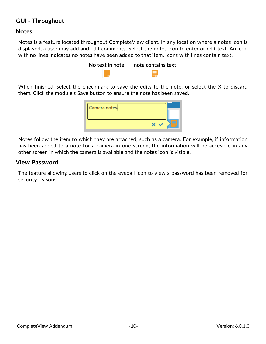### <span id="page-9-0"></span>**GUI - Throughout**

#### **Notes**

Notes is a feature located throughout CompleteView client. In any location where a notes icon is displayed, a user may add and edit comments. Select the notes icon to enter or edit text. An icon with no lines indicates no notes have been added to that item. Icons with lines contain text.



When finished, select the checkmark to save the edits to the note, or select the X to discard them. Click the module's Save button to ensure the note has been saved.

| Camera notes. |  |
|---------------|--|
|               |  |

Notes follow the item to which they are attached, such as a camera. For example, if information has been added to a note for a camera in one screen, the information will be accesible in any other screen in which the camera is available and the notes icon is visible.

#### **View Password**

The feature allowing users to click on the eyeball icon to view a password has been removed for security reasons.